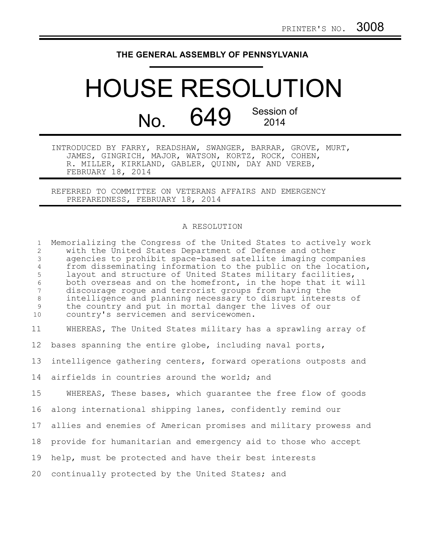## **THE GENERAL ASSEMBLY OF PENNSYLVANIA**

## HOUSE RESOLUTION No.  $649$  Session of 2014

INTRODUCED BY FARRY, READSHAW, SWANGER, BARRAR, GROVE, MURT, JAMES, GINGRICH, MAJOR, WATSON, KORTZ, ROCK, COHEN, R. MILLER, KIRKLAND, GABLER, QUINN, DAY AND VEREB, FEBRUARY 18, 2014

REFERRED TO COMMITTEE ON VETERANS AFFAIRS AND EMERGENCY PREPAREDNESS, FEBRUARY 18, 2014

## A RESOLUTION

Memorializing the Congress of the United States to actively work with the United States Department of Defense and other agencies to prohibit space-based satellite imaging companies from disseminating information to the public on the location, layout and structure of United States military facilities, both overseas and on the homefront, in the hope that it will discourage rogue and terrorist groups from having the intelligence and planning necessary to disrupt interests of the country and put in mortal danger the lives of our country's servicemen and servicewomen. WHEREAS**,** The United States military has a sprawling array of bases spanning the entire globe, including naval ports, intelligence gathering centers, forward operations outposts and airfields in countries around the world; and WHEREAS, These bases, which quarantee the free flow of goods along international shipping lanes, confidently remind our allies and enemies of American promises and military prowess and provide for humanitarian and emergency aid to those who accept help, must be protected and have their best interests continually protected by the United States; and 1 2 3 4 5 6 7 8 9 10 11 12 13 14 15 16 17 18 19 20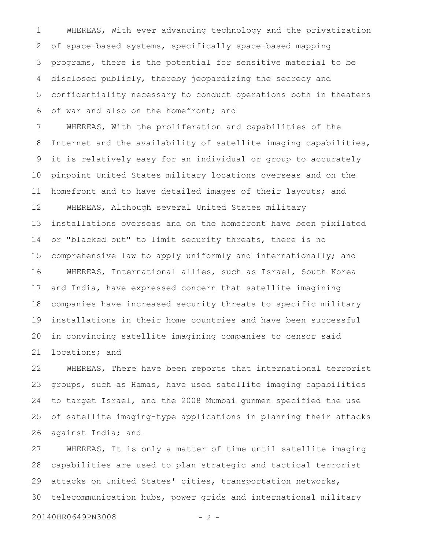WHEREAS, With ever advancing technology and the privatization of space-based systems, specifically space-based mapping programs, there is the potential for sensitive material to be disclosed publicly, thereby jeopardizing the secrecy and confidentiality necessary to conduct operations both in theaters of war and also on the homefront; and 1 2 3 4 5 6

WHEREAS, With the proliferation and capabilities of the Internet and the availability of satellite imaging capabilities, it is relatively easy for an individual or group to accurately pinpoint United States military locations overseas and on the homefront and to have detailed images of their layouts; and WHEREAS, Although several United States military installations overseas and on the homefront have been pixilated or "blacked out" to limit security threats, there is no comprehensive law to apply uniformly and internationally; and WHEREAS, International allies, such as Israel, South Korea and India, have expressed concern that satellite imagining companies have increased security threats to specific military installations in their home countries and have been successful in convincing satellite imagining companies to censor said locations; and 7 8 9 10 11 12 13 14 15 16 17 18 19 20 21

WHEREAS, There have been reports that international terrorist groups, such as Hamas, have used satellite imaging capabilities to target Israel, and the 2008 Mumbai gunmen specified the use of satellite imaging-type applications in planning their attacks against India; and 22 23 24 25 26

WHEREAS, It is only a matter of time until satellite imaging capabilities are used to plan strategic and tactical terrorist attacks on United States' cities, transportation networks, telecommunication hubs, power grids and international military 27 28 29 30

20140HR0649PN3008 - 2 -